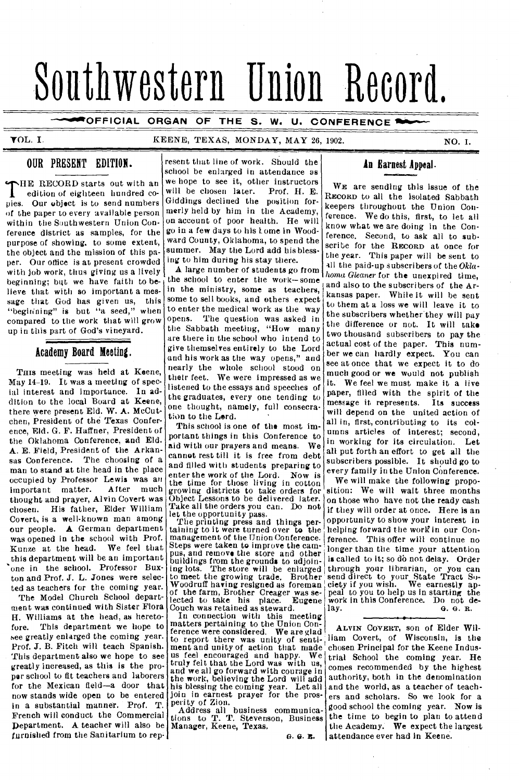# Southwestern Union Record.

**AFOFFICIAL ORGAN OF THE S. W. U. CONFERENCE** 

### TOL. I. KEENE, TEXAS, MONDAY, MAY 26, 1902. NO. 1.

### OUR PRESENT EDITION.

THE RECORD starts out with an edition of eighteen hundred copies. Our object is to send numbers HE RECORD starts out with an edition of eighteen hundred coof the paper to every available person within the Southwestern Union Conference district as samples, for the purpose of showing, to some extent, the object and the mission of this paper. Our office is at present crowded with job work, thus giving us a lively beginning; but we have faith to believe that with so important a message that God has given us, this "begining" is but "a seed," when compared to the work that will grow up in this part of God's vineyard.

### Academy Board Meeting.

THIS meeting was held at Keene, May 14-19. It was a meeting of special interest and importance. In addition to the local Board at Keene, there were present Eld. W. A. McCutchen, President of the Texas Conference, Eld. G. F. Haffner, President of the Oklahoma Conference, and Eld. A. E. Field, President of the Arkansas Conference. The choosing of a man to stand at the head in the place occupied by Professor Lewis was an<br>important matter. After much important matter. thought and prayer, Alvin Covert was chosen. His father, Elder William Covert, is a well-known man among our people. A German department was opened in the school with Prof. Kunze at the head. We feel that this department will be an important one in the school. Professor Buxton and Prof. J. L. Jones were selected as teachers for the coming year.

The Model Church School department was continued with Sister Flora H. Williams at the head, as heretofore. This department we hope to see greatly enlarged the coming year. Prof. J. B. Fitch will teach Spanish. This department also we hope to see greatly increased, as this is the proper school to fit teachers and laborers for the Mexican field—a door that now stands wide open to be entered in a substantial manner. Prof. T. French will conduct the Commercial Department. A teacher will also be furnished from the Sanitarium to rep-

resent that line of work. Should the school be enlarged in attendance as we hope to see it, other instructors<br>will be chosen later. Prof. H. E. will be chosen later. Giddings declined the position formerly held by him in the Academy, on account of poor health. He will go in a few days to his tome in Woodward County, Oklahoma, to spend the summer. May the Lord add his blessing to him during his stay there.

A large number of students go from the school to enter the work—some in the ministry, some as teachers, some to sell books, and others expect to enter the medical work as the way opens. The question was asked in the Sabbath meeting, "How many are there in the school who intend to *give* themselves entirely to the Lord and his work as the way opens," and nearly the whole school stood on their feet. We were impressed as we listened to the essays and speeches of the graduates, every one tending to one thought, namely, full consecration to the Lerd.

This school is one of the most important things in this Conference to aid with our prayers and means. We cannot rest till it is free from debt and tilled with students preparing to enter the work of the Lord. Now is the time for those living in cotton growing districts to take orders for Object Lessons to be delivered later. Take all the orders you can. Do not let the opportunity pass.

The printing press and things per-taining to it were turned over to the management of the Union Conference. Steps were taken to improve the campus, and remove the store and other buildings from the grounds to adjoin-ing lots. The store will be enlarged ing lots. The store will be enlarged<br>to meet the growing trade. Brother Woodruff having resigned as foreman of the farm, Brother Creager was se-<br>lected to take his place. Eugene lected to take his place. Couch was retained as steward.

In connection with this meeting matters pertaining to the Union Conference were considered. We are glad to report there was unity of senti-ment and unity of action that made us feel encouraged and happy. We truly felt that the Lord was with us, and we all go forward with courage in the work, believing the Lord will add his blessing the coming year. Let all join in earnest prayer for the prosperity of Zion.

Address all business communica-<br>tions to T. T. Stevenson, Business Manager, Keene, Texas.

ft. G. It.

### **An Earnest Appeal.**

WE are sending this issue of the RECORD to all the isolated Sabbath keepers throughout the Union Conference. We do this, first, to let all know what we are doing in the Conference. Second, to ask all to subscribe for the RECORD at once for the year. This paper will be sent to all the paid-up subscribers of the *Oklahoma Gleaner* for the unexpired time, and also to the subscribers of the Arkansas paper. While it will he sent to them at a loss we will leave it to the subscribers whether they will pay the difference or not. It will take two thousand subscribers to pay the actual cost of the paper. This number we can hardly expect. You can see at once that we expect it to do much good or we would not publish it. We feel we must make it a live paper, filled with the spirit of the message it represents. Its success will depend on the united action of all in, first, contributing to its columns articles of interest; second, in working for its circulation. Let all put forth an effort to get all the subscribers possible. It should go to every family in the Union Conference.

We will make the following proposition: We will wait three months on those who have not the ready cash if they will order at once. Here is an opportunity to show your interest in helping forward the work in our Conference. This offer will continue no longer than the time your attention is called to it; so do not delay. Order through your librarian, or you can send direct to your State Tract Society if you wish. We earnestly appeal to you to help us in starting the work in this Conference. Do not de-<br>lay.  $\qquad \qquad \textbf{a. g. R.}$ lay. G. G. R.

ALVIN COVERT, son of Elder William Covert, of Wisconsin, is the chosen Principal for the Keene Industrial School the coming year. He comes recommended by the highest authority, both in the denomination and the world, as a teacher of teachers and scholars. So we look for a good school the coming year. Now is the time to begin to plan to attend the Academy. We expect the largest attendance ever had in Keene.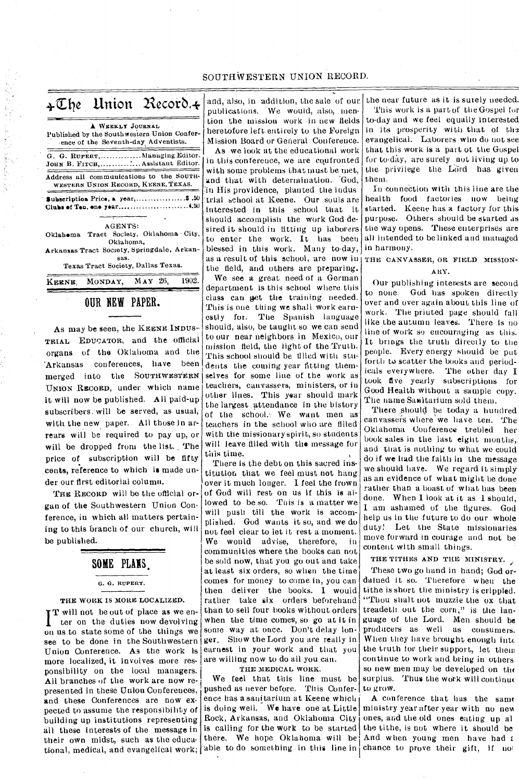| $\div \mathbb{C}$ he Union Record. $\div$                                                              |
|--------------------------------------------------------------------------------------------------------|
| A WEEKLY JOURNAL<br>Published by the Southwestern Union Confer-<br>ence of the Seventh-day Adventists. |
| G. G. RUPERT, Managing Editor.<br>JOHN B. FITCH,  Assistant Editor.                                    |
| Address all communications to the SOUTH-<br>WESTERN UNION RECORD, KEENE, TEXAS.                        |
| Subscription Price, a year,\$.50<br>Clubs of Ten, one year4.50                                         |
| <b>AGENTS:</b>                                                                                         |
| Oklahoma Tract Society, Oklahoma City,<br>Oklahoma,                                                    |
| Arkansas Tract Society, Springdale, Arkan-<br>sas.                                                     |
| Texas Tract Society, Dallas Texas.                                                                     |
| 1902.<br>MAY 26,<br>KEENE, MONDAY.                                                                     |

### OUR NEW PAPER.

As may be seen, the KEENE INDUS-TRIAL EDUCATOR, and the official organs of the Oklahoma and the 'Arkansas conferences, have been merged into the SOUTHWESTERN UNION RECORD, under which name it will now be published. All paid-up subscribers, will be served, as usual, with the new paper. All those in arrears will be required to pay up, or will be dropped from the list. The price of subscription will be fifty cents, reference to which is made under our first editorial column.

THE RECORD will be the official organ of the Southwestern Union Conference, in which all matters pertaining to this branch of our church, will be published.

### SOME PLANS,

### G. G. RUPERT.

### THE WORK IS MORE LOCALIZED.

**IT** will not be out of place as we enter on the duties now devolving on us to state some of the things we see to be done in the Southwestern Union Conference. As the work is more localized, it involves more responsibility on the local managers. All branches of the work are now represented in these Union Conferences, and these Conferences are now expected to assume the responsibility of building up institutions representing all these interests of the message in their own midst, such as the educational, medical, and evangelical work;

and, also, in addition, the sale of our publications. We would, also, mention the mission work in new fields heretofore left entirely to the Foreign Mission Board or General Conference.

As we look at the educational work in this conference, we are confronted With some problems that must be met, and that with determination. God, 'in His providence, planted the indus 'trial school at Keene. Our souls are interested in this school that it should accomplish the work God desired it should in fitting up laborers to enter the work. It has been blessed in this work. Many to-day, as a result of this school, are now in THE CANVASSER, OR FIELD MISSIONthe field, and others are preparing.

We see a great need of a German department is this school where this class can get the training needed. This is one thing we shall work earnestly for. The Spanish language should, also, be taught so we can send to our near neighbors in Mexico, our mission field, the light of the Truth. This school should be tilled with students the coming year fitting themselves for some line of the work as teachers, canvassers, ministers, or in other lines. This year should mark the largest \_attendance in the history of the school. We want men as teachers in the school who are tilled with the missionary spirit, so students will leave filled with the message for this time.

There is the debt on this sacred institution that we feel must not hang over it much longer. I feel the frown of God will rest on us if this is allowed to be so. This is a matter we will push till the work is accomplished. God wants it so, and we do not feel clear to let it rest a moment. We would advise, therefore, in communities where the books can not be sold now, that you go out and take at least six orders, so when the time comes for money to come in, you can then deliver the books. I would rather take six orders beforehand than to sell four books without orders when the time comes, so go at it in some way at once. Don't delay longer. Show the Lord you are really in earnest in your work and that you are willing now to do all you can.

### THE MEDICAL WORK.

We feel that this line must be pushed as never before. This Conference has a sanitarium at Keene which is doing well. We have one at Little Rock, Arkansas, and Oklahoma City is calling for the work to be started there. We hope Oklahoma will be And when young men have had  $t$ able to do something in this line in chance to prove their gift, if  $\text{no}1$ 

the near future as it is surely needed. This work is a part of the Gospel for to-day and we feel equally interested in its prosperity with that of the evangelical. Laborers who do not see that this work is a part of the Gospel for to-day, are surely not living up to the privilege the Lord has given them.

In connection with this line are the health food factories now being started. Keene has a factory for this purpose. Others should be started as the way opens. These enterprises are all intended to be linked and managed in harmony.

## ARY.

Our publishing interests are second to none. God has spoken directly over and over again about this line of work. The priuted page should fall like the autumn leaves. There is no line of work so encouraging as this. It brings the truth directly to the people. Every energy should be put forth to scatter the books and periodicals everywhere. The other day I took five yearly subscriptions for Good Health without a sample copy. The name Sanitarium sold them.

There should be today a hundred canvassers Where we have ten. The Oklahoma Conference trebled her book sales in the last eight months,. and that is nothing to what we could do if we had the faith in the message we should have. We regard it simply as an evidence of what might be done rather than a boast of what has been done. When I look at it as I should, I am ashamed of the figures. God help us in the future to do our whole duty! Let the State missionaries move forward in courage and not be content with small things.

### THE TITHES AND THE MINISTRY.

These two go hand in hand; God ordained it so. Therefore. when the tithe is short the ministry is crippled. "Thou shalt not muzzle the ox that treadeth out the corn," is the language of the Lord. Men should be producers as well as consumers. When they have brought enough into the truth for their support, let them continue to work and bring in others, so new men may be developed on the surplus. Thus the work will continue to grow.

A conference- that has the same ministry year after year with no nevi ones, and the old ones eating up al the tithe, is not where it should be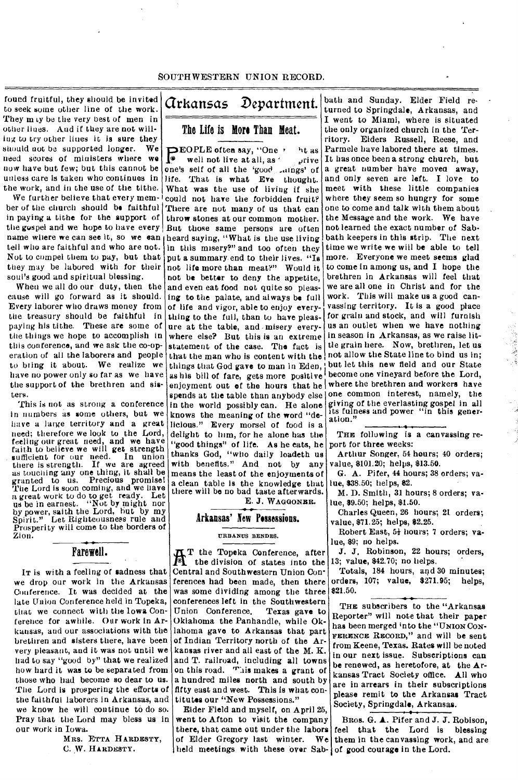found fruitful, they should be invited to seek some other line of the work. They m ty be the very best of men in other lines. And if they are not willing to try other lines it is sure they should not be supported longer. We need scores of ministers where we now have but few; but this cannot be unless care is taken who continues in the work, and in the use of the tithe.

We further believe that every member of the church should be faithful in paying a tithe for the support of the gospel and we hope to have every name where we can see it, so we can heard saying, "What is the use living tell who are faithful and who are not. Not to compel them to pay, but that put a summary end to their lives. "Is they may be labored with for their soul's good and spiritual blessing.

When we all do our duty, then the cause will go forward as it should. Every laborer who draws money from the treasury should be faithful in paying his tithe. These are some of the things we hope to accomplish in this conference, and we ask the co-operation of all the laborers and people to bring it about. We realize we have no power only so far as we have the support of the brethren and sibtens.

This is not as strong a conference in numbers as some others, but we have a large territory and a great need; therefore we look to the Lord, feeling our great need, and we have faith to believe we will get strength sufficient for our *need.* In union there is strength. If we are agreed as touching any one thing, it shall be granted to us. Precious promise! The Lord is soon coming, and we have a great work to do to get ready. Let us be in earnest. "Not by might nor by power, saith the Lord, but by my Spirit." Let Righteousness rule and Prosperity will come to the borders of Zion.

### Farewell.

IT is with a feeling of sadness that we drop our work in the Arkansas Conference. It was decided at the late Union Conference held in Topeka, that we connect with the Iowa Conference for awhile. Our work in Arkansas, and our associations with the brethren and sisters there, have been very pleasant, and it was not until we had to say "good by" that we realized how hard it was to be separated from those who had become so dear to us. The Lord is prospering the efforts of the faithful laborers in Arkansas, and we know he will continue to do so. Pray that the Lord may bless us in our work in Iowa.

MRS. ETTA HARDESTY, C. W. HARDESTY.

# Arkansas Department.

The Life is More Than Meat.

**PEOPLE often say, "One '** ht as<br>
well not live at all, as ' prive well not live at all, as  $\sqrt{\frac{1}{n}}$  rive **Solution** well not live at all, as  $\alpha$  prive one's self of all the 'good aings' of life. That is what Eve thought. What was the use of living if she could not have the forbidden fruit? There are not many of us that can throw stones at our common mother. But those same persons are often in this misery?" and too often they not life more than meat?" Would it not be better to deny the appetite, and even eat food not quite so pleasing to the palate, and always be full of life and vigor, able to enjoy everything to the full, than to have pleasure at the table, and - misery everywhere else? But this is an extreme statement of the case. The fact is that the man who is content with the things that God gave to man in Eden, as his bill of fare, gets more positive enjoyment out of the hours that he spends at the table than anybody else in the world possibly can. He alone knows the meaning of the word "delicious." Every morsel of food is a delight to him, for he alone has the "good things" of life. As he eats, he thanks God, "who daily loadeth us with benefits." And not by any means the least of the enjoyments of a clean table is the knowledge that there will be no bad taste afterwards.

E. J. WAGGONER.

### Arkansas' New Possessions.

URBANUS BENDES.

 $\frac{1}{2}$ T the Topeka Conference, after the division of states into the Central and Southwestern Union Conferences had been made, then there was some dividing among the three conferences left in the Southwestern Union Conference. Texas gave to Oklahoma the Panhandle, while Oklahoma gave to Arkansas that part of Indian Territory north of the Arkansas river and all east of the M. K. and T. railroad, including alt towns on this road. This makes a grant of a hundred miles north and south by fifty east and west. This is what contitutes our "New Possessions."

held meetings with these over Sab- of good courage in the Lord. Elder Field and myself, on April 25, went to Afton to visit the company there, that came out under the labors of Elder Gregory last winter. We

bath and Sunday. Elder Field returned to Springdale, Arkansas, and I went to Miami, where is situated the only organized church in the Territory. Elders Russell, Reese, and Parmele have labored there at times. It has once been a strong church, but a great number have movea away, and only seven are left. I love to meet with these little companies where they seem so hungry for some one to come and talk with them about the Message and the work. We have not learned the exact number of Sabbath keepers in this strip. The next time we write we will be able to tell more. Everyone we meet seems glad to come in among us, and I hope the brethren in Arkansas will feel that we are all one in Christ and for the work. This will make us a good canvassing territory. It is a good place for grain and stock, and will furnish us an outlet when we have nothing in season in Arkansas, as we raise little grain here. Now, brethren, let us not allow the State line to bind us in; but let this new field and our State become one vineyard before the Lord, where the brethren and workers have one common interest, namely, the giving of the everlasting gospel in all its fulness and power "in this generation."

THE following is a canvassing report for three weeks:

Arthur Songer, 54 hours; 40 orders; value, \$101.20; helps, \$13.50.

G. A. Pifer, 44 hours; 38 orders; value, \$38.50; helps, \$2.

M. D. Smith, 31 hours; 8 orders; value, \$9.50; helps, \$1.50.

Charles Queen, 26 hours; 21 orders; value, \$71.25; helps, \$2.25.

Robert East, 5+ hours; 7 orders; value, \$9; no helps.

J. J. Robinson, 22 hours; orders, 13; value, \$42.70; no helps.

Totals, 184 hours, and 30 minutes; orders, 107; value, \$271.95; helps, \$21.50.

THE subscribers to the "Arkansas Reporter" will note that their paper has been merged into the "UNION CON-FERENCE RECORD," and will be sent from Keene, Texas. Rates will be noted in our next issue. Subscriptions can be renewed, as heretofore, at the Arkansas Tract Society office. All who are in arrears in their subscriptions please remit to the Arkansas Tract Society, Springdale, Arkansas.

BRos. G. A. Pifer and J. J. Robison, feel that the Lord is blessing them in the canvassing work, and are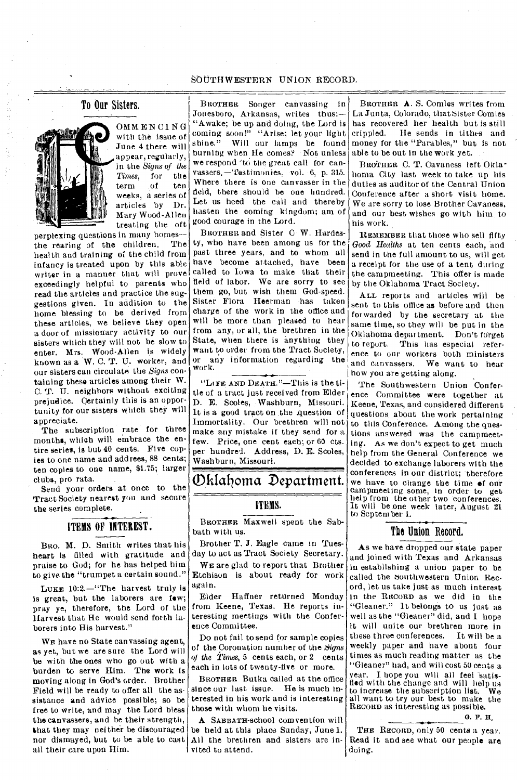### To Our Sisters.



OMMENCING with the issue of June 4 there will appear, regularly, in the *Signs of the Times*, for the<br>term of ten term weeks, a series of articles by Dr. Mary Wood-Allen treating the oft

perplexing questions in many homes--<br>the rearing of the children. The the rearing of the children. health and training of the child from infancy is treated upon by this able writer in a manner that will prove exceedingly helpful to parents who read the articles and practice the suggestions given. In addition to the home blessing to be derived from these articles, we believe they open a door of missionary activity to our sisters which they will not be slow to enter. Mrs. Wood-Allen is widely known as a W. C. T. U. worker, and our sisters can circulate the *Signs* containing these articles among their W. C. T. U. neighbors without exciting prejudice. Certainly this is an opportunity for our sisters which they will appreciate.

The subscription rate for three months, which will embrace the entire series, is but 40 cents. Five copies to one name and addrees, 88 cents; ten copies to one name, 81.75; larger clubs, pro rata.

Send your orders at once to the Tract Society nearest you and secure the series complete.

### ITEMS OF INTEREST.

BRO. M. D. Smith writes that his heart is filled with gratitude and praise to God; for he has helped him to give the "trumpet a certain sound."

LUKE 10:2.—"The harvest truly is is great, but the laborers are few; pray ye, therefore, the Lord of the Harvest that He would send forth laborers into His harvest."

WE have no State canvassing agent, as yet, but we are sure the Lord will be with the ones who go out with a burden to serve Him. The work is moving along in God's order. Brother Field will be ready to offer all the assistance and advice possible; so be free to write, and may the Lord bless the canvassers, and be their strength, that they may neither be discouraged nor dismayed, but to be able to cast all their care upon Him.

BROTHER Songer canvassing in Jonesboro, Arkansas, writes thus:-"Awake; be up and doing, the Lord is coming soon!" "Arise; let your light shine." Will our lamps be found Will our lamps be found burning when He comes? Not unless we respond 'to the great call for canvassers.—Testimonies. vol. 6, p. 315. Where there is one canvasser in the field, there should be one hundred. Let us heed the call and thereby hasten the coming kingdom; am of good courage in the Lord.

BROTHER and Sister C W. Hardesty, who have been among us for the past three years, and to whom all have become attached, have been called to Iowa to make that their field of labor. We are sorry to see them go, but wish them God-speed. Sister Flora Heerman has taken charge of the work in the office and will be more than pleased to hear from any, or all, the brethren in the State, when there is anything they want to order from the Tract Society, or any information regarding the work.

"LIFE AND DEATH."—This is the title of a tract just received from  $\text{Elder}_t$ D. E. Scoles, Washburn, Missouri. It is a good tract on the question of Immortality. Our brethren will not make any mistake if they send for a few. Price, one cent each; or 60 cts. per hundred. Address, D. E. Scoles, Washburn, Missouri.

Oklatioma Department.

### ITEMS.

BROTHER Maxwell spent the Sabbath with us.

Brother T. J. Eagle came in Tuesday to act as Tract Society Secretary.

WE are glad to report that Brother Etchison is about ready for work again.

Elder Haffner returned Monday from Keene, Texas. He reports interesting meetings with the Conference Committee.

Do not fail to send for sample copies of the Coronation number of the *Signs of the Times,* 5 cents each, or 2 cents each in lots of twenty-five or more.

BROTHER Butka called at the office since our last issue. He is much interested in his work and is interesting those with whom he visits.

A SABBATH-school convention will be held at this place Sunday, June 1. All the brethren and sisters are invited to attend.

BROTHER A. S. Comles writes from La Junta, Colorado, that Sister Comles has recovered her health but is still<br>crippled. He sends in tithes and He sends in tithes and money for the "Parables." but is not able to be out in the work yet.

BROTHER C. T. Cavaness left Oklahoma City last week to take up his duties as auditor of the Central Union Conference after a short visit home. We are sorry to lose Brother Cavaness, and our best wishes go with him to his work.

REMEMBER that those who sell fifty *Good Healths* at ten cents each, and send in the full amount to us, will get a receipt for the use of a tent during the campmeeting. This offer is made by the Oklahoma Tract Society.

ALL reports and articles will be sent to this office as before and then forwarded by the secretary at the same time, so they will be put in the Oklahoma department. Don't forget to report. This has especial reference to our workers both ministers and canvassers. We want to hear how you are getting along.

The Southwestern Union Conference Committee were together at Keene, Texas, and considered different questions about the work pertaining to this Conference. Among the questions answered was the campmeeting. As we don't expect to get much help from the General Conference we decided to exchange laborers with the conferences in our district; therefore we have to change the time of our campmeeting some, in order to get help from the other two conferences. It will be one week later, August 21 to September 1.

### The Union Record.

As we have dropped our state paper and joined with Texas and Arkansas in establishing a union paper to be called the southwestern Union Record, let us take just as much interest in the RECORD as we did in the "Gleaner." It belongs to us just as well as the "Gleaner" did, and I hope it will unite our brethren more in these three conferences. It will be a weekly paper and have about four times as much reading matter as the "Gleaner" had, and will cost 50 cents a year. I hope you will all feel satisfled with the change and will help us<br>to increase the subscription list. We to increase the subscription list. all want to try our best to make the RECORD as interesting as possible.

G. F. H.

THE RECORD, only 50 cents a year. Read it and see what our people are doing.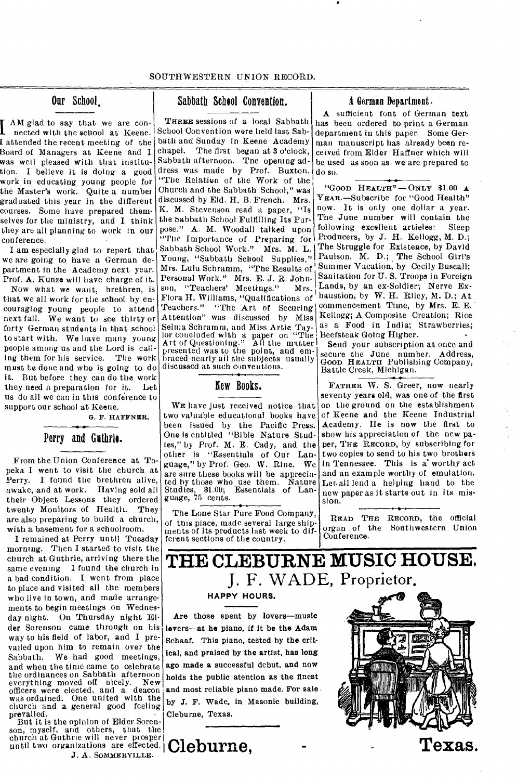$\prod_{\text{not of } n}$  AM glad to say that we are connected with the school at Keene. I attended the recent meeting of the Board of Managers at Keene and I was well pleased with that institution. I believe it is doing a good work in educating young people for the Master's work. Quite a number graduated this year in the different courses. Some have prepared themselves for the ministry, and I think they are all planning to work in our conference.

I am especially glad to report that we are going to have a German department in the Academy next year. Prof. A. Kunze will have charge of it.

Now what we want, brethren, is that we all work for the school by encouraging young people to attend next fall. We want to see thirty or forty German students in that school to start with. We have many young people among us and the Lord is calling them for his service. The work must be done and who is going to do it. But before they can do the work they need a preparation for it. Let us do all we can in this conference to support our school at Keene.

G. F. HAFFNER.

### Perry and Guthrie.

From the Union Conference at Topeka I went to visit the church at Perry. I found the brethren alive, awake, and at work. Having sold all their Object Lessons they ordered twenty Monitors of Health. They are also preparing to build a church, with a basement for a schoolroom.

1 remained at Perry until Tuesday morning. Then I started to visit the church at Guthrie, arriving there the same evening I found the church in a bad condition. I went from place to place and visited all the members who live in town, and made arrangements to begin meetings on Wednesday night. On Thursday night Elder Sorenson came through on his way to his field of labor, and I prevailed upon him to remain over the Sabbath. We had good meetings, and when the time came to celebrate the ordinances on Sabbath afternoon everything moved off nicely. New officers were elected, and a deacon was ordained. One united with the church and a general good feeling prevailed.

But it is the opinion of Elder Sorenson, myself, and others, that the church at Guthrie will never prosper until two organizations are effected. **Cleburne**. *J.* A. SOMMERVILLE.

### Our School. Sabbath School Convention. A German Department.

Mrs. Lulu Schramm, "The Results of Summer Vacation, by Cecily Buscall; Teachers." "The Art of Securing commencement Time, by Mrs. E. E. THREE sessions of a local Sabbath School Convention were held last Sabbath and Sunday in Keene Academy chapel. The first began at 3 o'clock, Sabbath afternoon. Tne opening address was made by Prof. Buxton. "The Relation of the Work of the Church and the Sabbath School," was discussed by Eld. H. B. French. Mrs. K. M. Stevenson read a paper, "Is the Sabbath School Fulfilling Its Purpose." A. M. Woodall talked upon "The Importance of Preparing for Sabbath School Work." Mrs. M. L. Young, "Sabbath School Supplies." Personal Work." Mrs. E. J. R. John-<br>son, "Teachers' Meetings." Mrs. son, "Teachers' Meetings." Flora H. Williams, "Qualifications of Attention" was discussed by Miss Selma Schramm, and Miss Artie Taylor concluded with a paper on "The Art of Questioning." All the matter presented was to the point, and embraced nearly ail the subjects usually discussed at such conventions.

### New Books.

WE have just received notice that two valuable educational books have been issued by the Pacific Press. One is entitled "Bible Nature Studies," by Prof. M. E. Cady, and the other is "Essentials of Our Language," by Prof. Geo. W. Rine. We are sure these books will be appreciated by those who use them. Nature Essentials of Lan-Studies, \$1.00;<br>guage, 75 cents.

The Lone Star Pure Food Company, of this place, made several large shipments of its products last week to different sections of the country.

A sufficient font of German text has been ordered to print a German department in this paper. Some German manuscript has already been received from Elder Haffner which will be used as soon as we are prepared to do so.

"GOOD HEALTH" $-$ ONLY \$1.00 A YEAR.—Subscribe for "Good Health" now. It is only one dollar a year. The June number will contain the following excellent artieles: Sleep Producers, by J. H. Kellogg, M. D.; The Struggle for Existence, by David Paulson, M. D.; The School Girl's Sanitation for U. S. Troops in Foreign Lands, by an ex-Soldier; Nerve Exhaustion, by W. H. Riley, M. D.; At Kellogg; A Composite Creation; Rice as a Food in India; Strawberries; Beefsteak Going Higher. •

Send your subscription at once and secure the June number. Address, Good HEALTH Publishing Company, Battle Creek, Michigan.

FATHER W. S. Greer, now nearly seventy years old, was one of the first on the ground on the establishment of Keene and the Keene Industrial Academy. He is now the first to show his appreciation of the new paper, THE RECORD, by subscribing for two copies to send to his two brothers in Tennessee. This is a worthy act and an example worthy of emulation. Ler. all lend a helping hand to the new paper as it starts out in its mission.

READ THE RECORD, the official organ of the Southwestern Union Conference.

# **THE CLEBURNE MUSIC HOUSE,**  J. F. WADE, Proprietor,

### **HAPPY HOURS.**

Are those spent by lovers—music lovers—at he piano, if it be the Adam Schaaf. This piano, tested by the critical, and praised by the artist, has long ago made a successful debut, and now holds the public atention as the finest and most reliable piano made. For sale by J. F. Wade, in Masonic building, Cleburne, Texas.

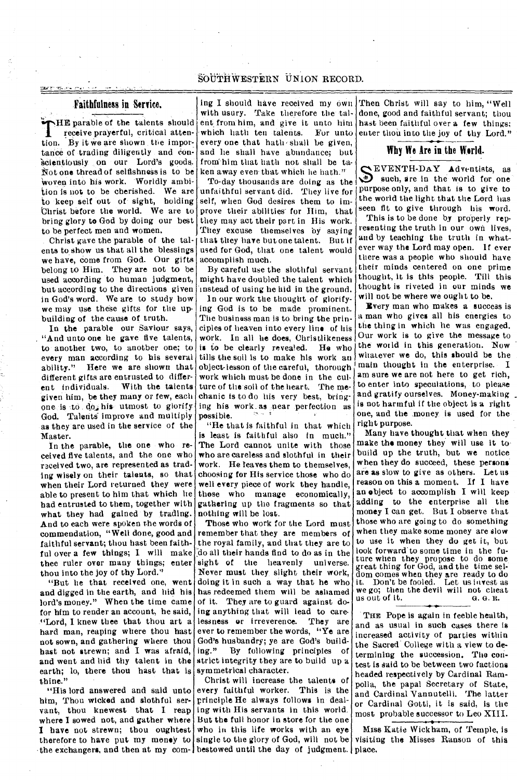### **Faithfulness in Service.**

THE parable of the talents should<br>receive prayerful, critical atten-<br>tion. By it we are shown the impor-HE parable of the talents should receive prayerful, critical attentance of trading diligently and conscientiously on our Lord's goods. Not one thread of selfishness is to be 'Woven into his work. Worldly ambition is not to be cherished. We are to keep self out of sight, holding Christ before the world. We are to bring glory to God by doing our best to be perfect men and women.

Christ gave the parable of the talents to show us that all the blessings we have, come from God. Our gifts belong to Him. They are not to be used according to human judgment, but according to the directions given in God's word. We are to study how we may use these gifts for the upbuilding of the cause of truth.

In the parable our Saviour says, "And unto one he gave five talents, to another two, to another one; to every man according to his several ability." Here we are shown that different gifts are entrusted to different individuals. With the talents given him, be they many or few, each one is to do, his utmost to glorify God. Talents improve and multiply as they are used in the service of the Master.

In the parable, the one who received five talents, and the one who received two, are represented as trading wisely on their talents, so that when their Lord returned they were able to present to him that which lie had entrusted to them, together with what they had gained by trading. And to each were spoken the words of commendation, "Well done, good and faithful servant; thou bast been faithful over a few things; I will make thee ruler over many things; enter thou into the joy of thy Lord."

"But he that received one, went and digged in the earth, and hid his lord's money." When the time came for him to render an account, he said, "Lord, I knew thee that thou art a hard man, reaping where thou hast not sown, and gathering where thou hast not strewn; and I was afraid, and went and hid thy talent in the earth; lo, there thou hast that is thine.'

him, Thou wicked and slothful servant, thou knewest that I reap ing with His servants in this world. where I sowed not, and gather where But the full honor in store for the one I have not strewn; thou oughtest who in this life works with an eye therefore to have put my money to single to the glory of God, will not be the exchangers, and then at my com-libestowed until the day of judgment. place.

ing I should have received my own with usury. Take therefore the talent from him, and give it unto him which hath ten talents. For unto every one that hath-shall be given, and he shall have abundance; but from him that hath not shall be taken away even- that which he hath."

To-day thousands are doing as the unfaithful servant did. They live for self, when God desires them to improve their abilities for Him, that they may act their part in His work. They excuse themselves by saying that they have but one talent. But if used for God, that one talent would accomplish much.

By careful use the slothful servant might have doubled the talent which instead of using he hid in the ground.

In our work the thought of glorifying God is to be made prominent. The business man is to bring the principles of heaven into *every* line of his work. In all he does, Christlikeness<br>is to be clearly revealed. He who is to be clearly revealed. tills the soil is to make his work an object-lesson of the careful, thorough work which must be done in the culture of the soil of the heart. The mechanic is to do his very best, bringing his work\_ as near perfection as possible.

"He that is faithful in that which is least is faithful also in much." The Lord cannot unite with those who are careless and slothful in their work. He leaves them to themselves, choosing for His service those who do well every piece of work they handle, those who manage economically, gathering up the fragments so that nothing will be lost.

Those who work for the Lord must remember that they are members of the royal family, and that they are to :do all their hands find to do as in the sight of the heavenly universe. Never must they slight their work, doing it in such a way that he who has redeemed them will be ashamed of it. They are to guard against doing anything that will lead to care-<br>lessness or irreverence. They are lessness or irreverence. ever to remember the words, "Ye are God's husbandry; ye are God's build-<br>ing." By following principles of By following principles of strict integrity they are to build up a symmetrical character.

"His lord answered and said unto every faithful worker. This is the Christ will increase the talents of principle He always follows in deal-

Then Christ will say to him, "Well done, good and faithful servant; thou hast been faithful over a few things; enter thou into the joy of thy Lord."

### **Why We Are in the World.**

SEVENTH-DAY Adventists, as<br>such, are in the world for one<br>nurmose only and that is to give to EVENTH-DAY Adventists, as purpose only, and that is to give to the world the light that the Lord has seen fit to give through his word.

This is to be done by properly representing the truth in our own lives, and by teaching the truth in whatever way the Lord may open. If ever there was a people who should have their minds centered on one prime thought, it is this people. Till this thought is riveted in our minds we will not be where we ought to be.

Every man who makes a success is a man who gives all his energies to the thing in which he was engaged. Our work is to give the message to the world in this generation. Now whatever we do, this should be the main thought in the enterprise. I am sure we are not here to get rich, to enter into speculations, to please and gratify ourselves. Money-making is not harmful if the object is a right one, and the money is used for the right purpose.

Many have thought that when they make the money they will use it to build up the truth, but we notice when they do succeed, these persons are as slow to give as others. Let us reason on this a moment. If I have an object to accomplish I will keep adding to the enterprise all the money I can get. But I observe that those who are going to do something when they make some money are slow to use it when they do get it, but look forward' to some time in the future when they propose to do some great thing for God, and the time seldom comes when they are ready to do it. Don't be fooled. Let us invest as we go; then the devil will not cheat<br>us out of it.  $\theta$ .  $\theta$ . R. us out of it.

THE Pope is again in feeble health, and as usual in such cases there is increased activity of parties within the Sacred College with a view to determining the succession. The contest is said to be between two factions headed respectively by Cardinal Rampolla, the papal Secretary of State, and Cardinal Vannutelli. The latter or Cardinal Gotti, it is said, is the most probable successor to Leo XIII.

 $\div$ Miss Katie Wickham, of Temple, is visiting the Misses Ranson of this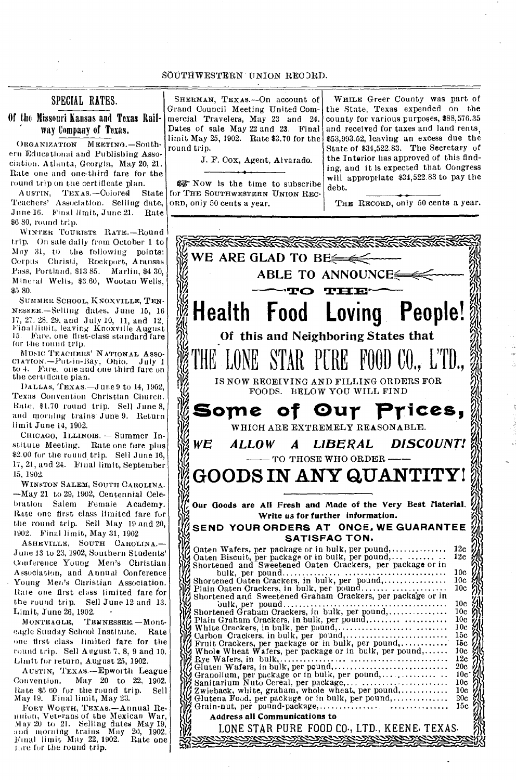### SPECIAL RATES.

Of the Missouri Kansas and Texas Rail- ' way Company of Texas.

ORGANIZATION MEETING.-Southern Educational and Publishing Association. Atlanta, Georgia, May 20, 21. Rate one and one-third fare for the round trip on the certificate plan.

AUSTIN, TEXAS.-Colored State Teachers' Association. Selling date, June 16. Final limit, June 21. Rate \$6 80, round trip.

WINTER TOURISTS RATE.-Round trip. On sale daily from October 1 to May 31, to the following points: Corpus Christi, Rockport, Aransas Pass, Portland, \$13 85. Marlin, \$4 30, Mineral Wells, \$3.60, Wootan Wells, \$5 80.

SUMMER SCHOOL, KNOXVILLE, TEN-NEssEE.—Selling dates, June 15, 16 17, 27. 28. 29, and July 10, 11, and 12. Final limit, leaving Knoxville August 15. Fare. one first-class standard fare for the round trip.

MUSIC TEACHERS' NATIONAL ASSO-CIATION.-Put-in-Bay, Ohio. July 1 to 4. Fare. one and one third fare on the certificate plan.

DA LLAs, TExAs.—June 9 to 14, 1902, Texas Convention Christian Church. Rate, \$1.70 round trip. Sell June 8, and morning trains June 9. Return limit June 14, 1902.

CHICAGO, ILLINOIS. — Summer Institute Meeting. Rate one fare plus \$2.00 for the round trip. Sell June 16, 17, 21, and 24. Final limit, September 15, 1902.

WINSTON SALEM, SOUTH CAROLINA. —May 21 to 29, 1902, Centennial Celehration Salem Female Academy. Rate one first class limited fare for the round trip. Sell May 19 and 20, 1902. Final limit, May 31, 1902

ASHEVILLE, SOUTH CAROLINA.— June 13 to 23, 1902, Southern Students' Conference Young Men's Christian Association, and Annual Conference Young Men's Christian Association. Rine one first class limited fare for the round trip. Sell June 12 and 13. Limit, June 26, 1902.<br>MONTEAGLE, TE.

TENNESSEE. - Monteagle Sunday School Institute. Rate one tirst class limited fare for the round trip. Sell August 7. 8, 9 and 10. Limit for return, August 25, 1902.

AUSTIN, TEXAS.—Epworth League Convention. May 20 to 22, 1902. Rate \$5 60 for the round trip. Sell May 19. Final limit, May 23.

FoRT WORTH, TEXAS.—Annual Re-linion, Veterans of the Mexican War, May 20 to 21. Selling dates May 19, and morning trains May 20, 1902. Final limit May 22, 1902. Rate one fare for the round trip.

SHERMAN, TEXAS.—On account of Grand Council Meeting United Commercial Travelers, May 23 and 24. Dates of sale May 22 and 23. Final limit May 25, 1902. Rate \$3.70 for the round trip.

J. F. Cox, Agent, Alvarado.

04-Now is the time to subscribe for THE SOUTHWESTERN UNION REC-ORD, only 50 cents a year.

WHILE Greer County was part of the State, Texas expended on the county for various purposes, \$88,576.35 and received for taxes and land rents, \$53,993.52, leaving an excess due the State of \$34,522.83. The Secretary of the Interior has approved of this finding, and it is expected that Congress will appropriate \$34,522.83 to pay the debt.

THE RECORD, only 50 cents a year.